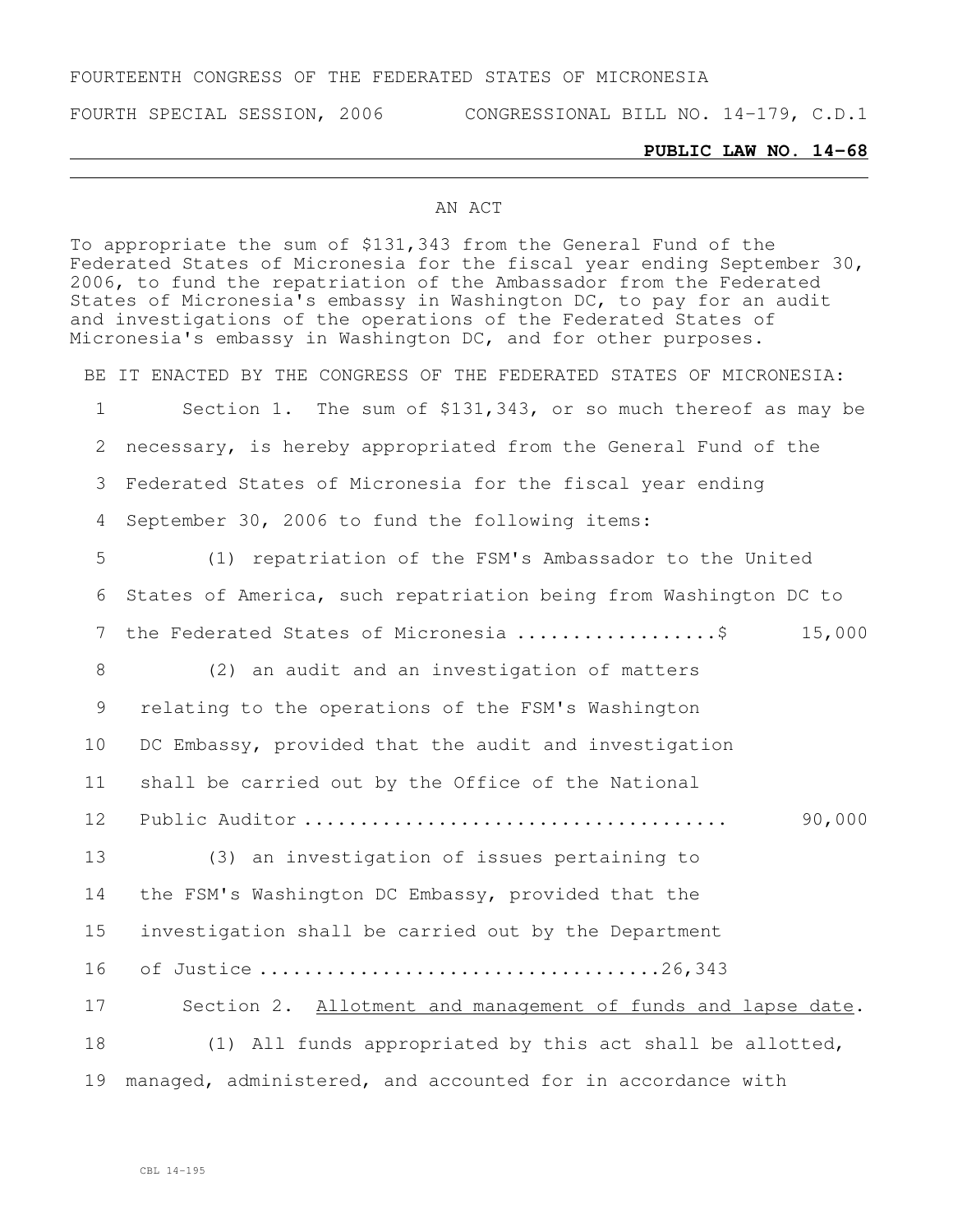## FOURTEENTH CONGRESS OF THE FEDERATED STATES OF MICRONESIA

FOURTH SPECIAL SESSION, 2006 CONGRESSIONAL BILL NO. 14-179, C.D.1

## **PUBLIC LAW NO. 14-68**

## AN ACT

To appropriate the sum of \$131,343 from the General Fund of the Federated States of Micronesia for the fiscal year ending September 30, 2006, to fund the repatriation of the Ambassador from the Federated States of Micronesia's embassy in Washington DC, to pay for an audit and investigations of the operations of the Federated States of Micronesia's embassy in Washington DC, and for other purposes.

BE IT ENACTED BY THE CONGRESS OF THE FEDERATED STATES OF MICRONESIA: Section 1. The sum of \$131,343, or so much thereof as may be necessary, is hereby appropriated from the General Fund of the Federated States of Micronesia for the fiscal year ending September 30, 2006 to fund the following items: (1) repatriation of the FSM's Ambassador to the United States of America, such repatriation being from Washington DC to 7 the Federated States of Micronesia .......................... 15,000 (2) an audit and an investigation of matters relating to the operations of the FSM's Washington DC Embassy, provided that the audit and investigation shall be carried out by the Office of the National Public Auditor ...................................... 90,000 (3) an investigation of issues pertaining to the FSM's Washington DC Embassy, provided that the investigation shall be carried out by the Department of Justice ....................................26,343 Section 2. Allotment and management of funds and lapse date. (1) All funds appropriated by this act shall be allotted, managed, administered, and accounted for in accordance with